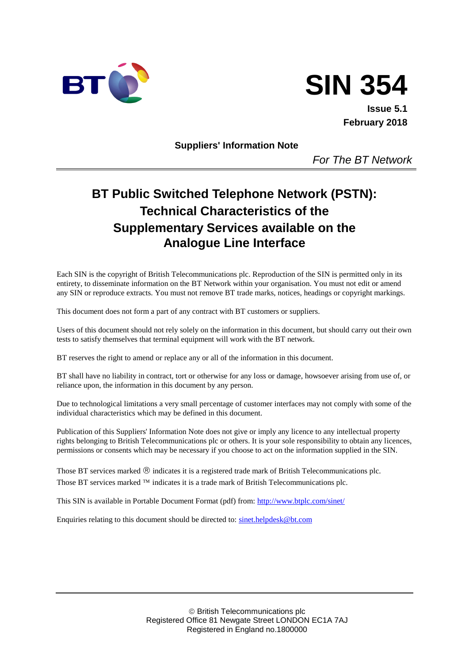



**Issue 5.1 February 2018**

**Suppliers' Information Note**

*For The BT Network*

# **BT Public Switched Telephone Network (PSTN): Technical Characteristics of the Supplementary Services available on the Analogue Line Interface**

Each SIN is the copyright of British Telecommunications plc. Reproduction of the SIN is permitted only in its entirety, to disseminate information on the BT Network within your organisation. You must not edit or amend any SIN or reproduce extracts. You must not remove BT trade marks, notices, headings or copyright markings.

This document does not form a part of any contract with BT customers or suppliers.

Users of this document should not rely solely on the information in this document, but should carry out their own tests to satisfy themselves that terminal equipment will work with the BT network.

BT reserves the right to amend or replace any or all of the information in this document.

BT shall have no liability in contract, tort or otherwise for any loss or damage, howsoever arising from use of, or reliance upon, the information in this document by any person.

Due to technological limitations a very small percentage of customer interfaces may not comply with some of the individual characteristics which may be defined in this document.

Publication of this Suppliers' Information Note does not give or imply any licence to any intellectual property rights belonging to British Telecommunications plc or others. It is your sole responsibility to obtain any licences, permissions or consents which may be necessary if you choose to act on the information supplied in the SIN.

Those BT services marked  $\circledR$  indicates it is a registered trade mark of British Telecommunications plc. Those BT services marked  $TM$  indicates it is a trade mark of British Telecommunications plc.

This SIN is available in Portable Document Format (pdf) from[: http://www.btplc.com/sinet/](http://www.sinet.bt.com/index.htm)

Enquiries relating to this document should be directed to: [sinet.helpdesk@bt.com](mailto:help@sinet.bt.com)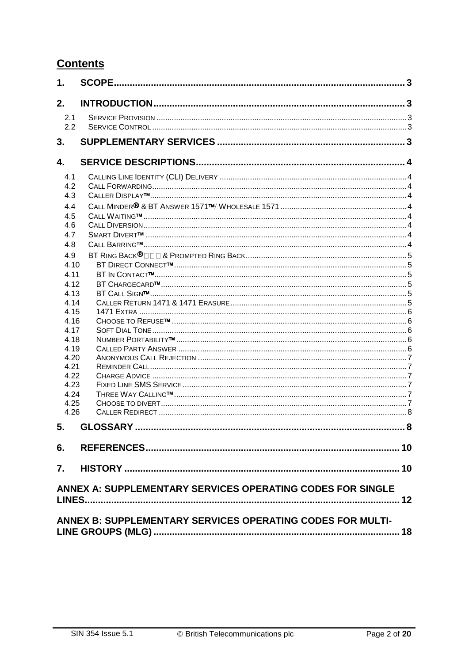# **Contents**

| 1.   | <b>SCOPE.</b>                                              | . 3 |
|------|------------------------------------------------------------|-----|
| 2.   |                                                            |     |
| 2.1  |                                                            |     |
| 2.2  |                                                            |     |
|      |                                                            |     |
| 3.   |                                                            |     |
| 4.   |                                                            |     |
| 4.1  |                                                            |     |
| 4.2  |                                                            |     |
| 4.3  |                                                            |     |
| 4.4  |                                                            |     |
| 4.5  |                                                            |     |
| 4.6  |                                                            |     |
| 4.7  |                                                            |     |
| 4.8  |                                                            |     |
| 4.9  |                                                            |     |
| 4.10 |                                                            |     |
| 4.11 |                                                            |     |
| 4.12 |                                                            |     |
| 4.13 |                                                            |     |
| 4.14 |                                                            |     |
| 4.15 |                                                            |     |
| 4.16 |                                                            |     |
| 4.17 |                                                            |     |
| 4.18 |                                                            |     |
| 4.19 |                                                            |     |
| 4.20 |                                                            |     |
| 4.21 |                                                            |     |
| 4.22 |                                                            |     |
| 4.23 |                                                            |     |
| 4.24 |                                                            |     |
| 4.25 |                                                            |     |
| 4.26 |                                                            |     |
| 5.   |                                                            |     |
| 6.   |                                                            |     |
|      |                                                            |     |
|      |                                                            |     |
|      | ANNEX A: SUPPLEMENTARY SERVICES OPERATING CODES FOR SINGLE | 12  |
|      | ANNEX B: SUPPLEMENTARY SERVICES OPERATING CODES FOR MULTI- |     |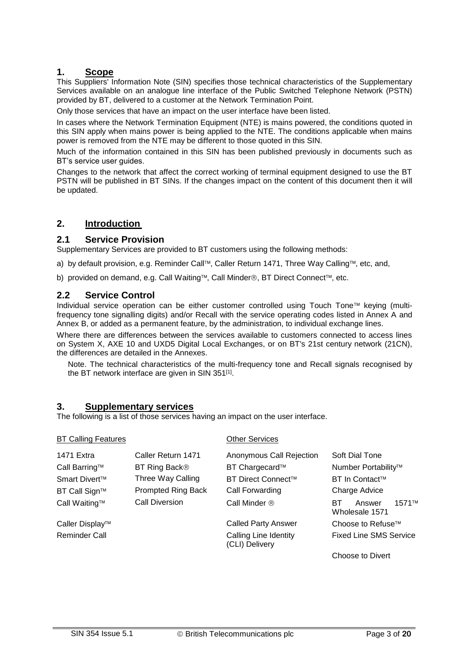# **1. Scope**

This Suppliers' Information Note (SIN) specifies those technical characteristics of the Supplementary Services available on an analogue line interface of the Public Switched Telephone Network (PSTN) provided by BT, delivered to a customer at the Network Termination Point.

Only those services that have an impact on the user interface have been listed.

In cases where the Network Termination Equipment (NTE) is mains powered, the conditions quoted in this SIN apply when mains power is being applied to the NTE. The conditions applicable when mains power is removed from the NTE may be different to those quoted in this SIN.

Much of the information contained in this SIN has been published previously in documents such as BT's service user guides.

Changes to the network that affect the correct working of terminal equipment designed to use the BT PSTN will be published in BT SINs. If the changes impact on the content of this document then it will be updated.

# **2. Introduction**

#### **2.1 Service Provision**

Supplementary Services are provided to BT customers using the following methods:

a) by default provision, e.g. Reminder Call™, Caller Return 1471, Three Way Calling™, etc, and,

b) provided on demand, e.g. Call Waiting™, Call Minder®, BT Direct Connect™, etc.

#### **2.2 Service Control**

Individual service operation can be either customer controlled using Touch Tone™ keying (multifrequency tone signalling digits) and/or Recall with the service operating codes listed in Annex A and Annex B, or added as a permanent feature, by the administration, to individual exchange lines.

Where there are differences between the services available to customers connected to access lines on System X, AXE 10 and UXD5 Digital Local Exchanges, or on BT's 21st century network (21CN), the differences are detailed in the Annexes.

Note. The technical characteristics of the multi-frequency tone and Recall signals recognised by the BT network interface are given in SIN 351<sup>[\[1\]](#page-9-0)</sup>.

## **3. Supplementary services**

The following is a list of those services having an impact on the user interface.

| <b>BT Calling Features</b> |                           | <b>Other Services</b>                   |                                           |  |  |
|----------------------------|---------------------------|-----------------------------------------|-------------------------------------------|--|--|
| 1471 Extra                 | Caller Return 1471        | Anonymous Call Rejection                | Soft Dial Tone                            |  |  |
| Call Barring™              | BT Ring Back <sup>®</sup> | BT Chargecard™                          | Number Portability™                       |  |  |
| Smart Divert <sup>™</sup>  | Three Way Calling         | BT Direct Connect™                      | <b>BT In Contact™</b>                     |  |  |
| BT Call Sign™              | <b>Prompted Ring Back</b> | Call Forwarding                         | Charge Advice                             |  |  |
| Call Waiting™              | Call Diversion            | Call Minder ®                           | 1571TM<br>BT.<br>Answer<br>Wholesale 1571 |  |  |
| Caller Display™            |                           | <b>Called Party Answer</b>              | Choose to Refuse <sup>™</sup>             |  |  |
| <b>Reminder Call</b>       |                           | Calling Line Identity<br>(CLI) Delivery | <b>Fixed Line SMS Service</b>             |  |  |
|                            |                           |                                         | Choose to Divert                          |  |  |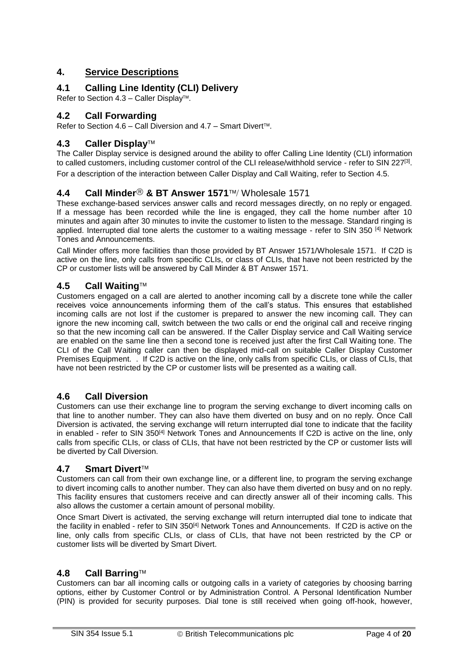# **4. Service Descriptions**

# **4.1 Calling Line Identity (CLI) Delivery**

Refer to Section [4.3](#page-3-0) – Caller Display<sup>TM</sup>.

# **4.2 Call Forwarding**

Refer to Section [4.6](#page-3-1) – Call Diversion and [4.7](#page-3-2) – Smart Divert™.

## <span id="page-3-0"></span>**4.3 Caller Display**

The Caller Display service is designed around the ability to offer Calling Line Identity (CLI) information to called customers, including customer control of the CLI release/withhold service - refer to SIN 227<sup>[\[3\]](#page-9-1)</sup>. For a description of the interaction between Caller Display and Call Waiting, refer to Section [4.5.](#page-3-3)

## **4.4 Call Minder<sup>®</sup> & BT Answer 1571™/ Wholesale 1571**

These exchange-based services answer calls and record messages directly, on no reply or engaged. If a message has been recorded while the line is engaged, they call the home number after 10 minutes and again after 30 minutes to invite the customer to listen to the message. Standard ringing is applied. Interrupted dial tone alerts the customer to a waiting message - refer to SIN 350 [\[4\]](#page-9-2) Network Tones and Announcements.

Call Minder offers more facilities than those provided by BT Answer 1571/Wholesale 1571. If C2D is active on the line, only calls from specific CLIs, or class of CLIs, that have not been restricted by the CP or customer lists will be answered by Call Minder & BT Answer 1571.

#### <span id="page-3-3"></span>**4.5 Call Waiting**

Customers engaged on a call are alerted to another incoming call by a discrete tone while the caller receives voice announcements informing them of the call's status. This ensures that established incoming calls are not lost if the customer is prepared to answer the new incoming call. They can ignore the new incoming call, switch between the two calls or end the original call and receive ringing so that the new incoming call can be answered. If the Caller Display service and Call Waiting service are enabled on the same line then a second tone is received just after the first Call Waiting tone. The CLI of the Call Waiting caller can then be displayed mid-call on suitable Caller Display Customer Premises Equipment. . If C2D is active on the line, only calls from specific CLIs, or class of CLIs, that have not been restricted by the CP or customer lists will be presented as a waiting call.

## <span id="page-3-1"></span>**4.6 Call Diversion**

Customers can use their exchange line to program the serving exchange to divert incoming calls on that line to another number. They can also have them diverted on busy and on no reply. Once Call Diversion is activated, the serving exchange will return interrupted dial tone to indicate that the facility in enabled - refer to SIN 350<sup>[\[4\]](#page-9-2)</sup> Network Tones and Announcements If C2D is active on the line, only calls from specific CLIs, or class of CLIs, that have not been restricted by the CP or customer lists will be diverted by Call Diversion.

#### <span id="page-3-2"></span>**4.7 Smart Divert**

Customers can call from their own exchange line, or a different line, to program the serving exchange to divert incoming calls to another number. They can also have them diverted on busy and on no reply. This facility ensures that customers receive and can directly answer all of their incoming calls. This also allows the customer a certain amount of personal mobility.

Once Smart Divert is activated, the serving exchange will return interrupted dial tone to indicate that the facility in enabled - refer to SIN 350<sup>[\[4\]](#page-9-2)</sup> Network Tones and Announcements. If C2D is active on the line, only calls from specific CLIs, or class of CLIs, that have not been restricted by the CP or customer lists will be diverted by Smart Divert.

#### **4.8 Call Barring**

Customers can bar all incoming calls or outgoing calls in a variety of categories by choosing barring options, either by Customer Control or by Administration Control. A Personal Identification Number (PIN) is provided for security purposes. Dial tone is still received when going off-hook, however,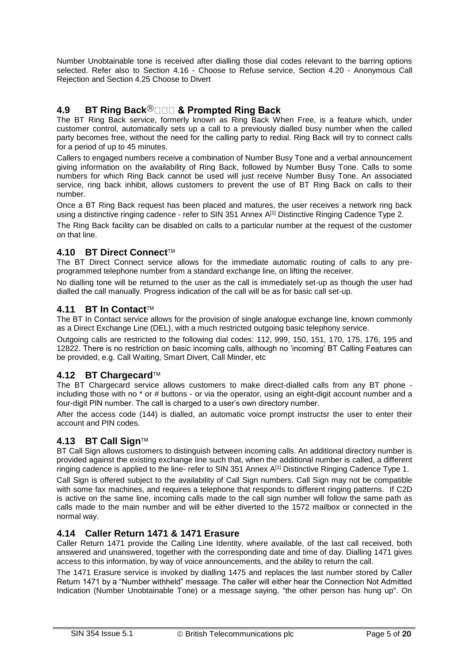Number Unobtainable tone is received after dialling those dial codes relevant to the barring options selected. Refer also to Section [4.16](#page-5-0) - Choose to Refuse service, Section [4.20](#page-6-0) - Anonymous Call Rejection and Section 4.25 Choose to Divert

# **4.9 BT Ring Back**

The BT Ring Back service, formerly known as Ring Back When Free, is a feature which, under customer control, automatically sets up a call to a previously dialled busy number when the called party becomes free, without the need for the calling party to redial. Ring Back will try to connect calls for a period of up to 45 minutes.

Callers to engaged numbers receive a combination of Number Busy Tone and a verbal announcement giving information on the availability of Ring Back, followed by Number Busy Tone. Calls to some numbers for which Ring Back cannot be used will just receive Number Busy Tone. An associated service, ring back inhibit, allows customers to prevent the use of BT Ring Back on calls to their number.

Once a BT Ring Back request has been placed and matures, the user receives a network ring back using a distinctive ringing cadence - refer to SIN 351 Annex A<sup>[\[1\]](#page-9-0)</sup> Distinctive Ringing Cadence Type 2.

The Ring Back facility can be disabled on calls to a particular number at the request of the customer on that line.

#### **4.10 BT Direct Connect**

The BT Direct Connect service allows for the immediate automatic routing of calls to any preprogrammed telephone number from a standard exchange line, on lifting the receiver.

No dialling tone will be returned to the user as the call is immediately set-up as though the user had dialled the call manually. Progress indication of the call will be as for basic call set-up.

#### **4.11 BT In Contact**

The BT In Contact service allows for the provision of single analogue exchange line, known commonly as a Direct Exchange Line (DEL), with a much restricted outgoing basic telephony service.

Outgoing calls are restricted to the following dial codes: 112, 999, 150, 151, 170, 175, 176, 195 and 12822. There is no restriction on basic incoming calls, although no 'incoming' BT Calling Features can be provided, e.g. Call Waiting, Smart Divert, Call Minder, etc

#### **4.12 BT Chargecard**

The BT Chargecard service allows customers to make direct-dialled calls from any BT phone including those with no \* or # buttons - or via the operator, using an eight-digit account number and a four-digit PIN number. The call is charged to a user's own directory number.

After the access code (144) is dialled, an automatic voice prompt instructsr the user to enter their account and PIN codes.

#### **4.13 BT Call Sign**

BT Call Sign allows customers to distinguish between incoming calls. An additional directory number is provided against the existing exchange line such that, when the additional number is called, a different ringing cadence is applied to the line- refer to SIN 351 Annex A[\[1\]](#page-9-0) Distinctive Ringing Cadence Type 1.

Call Sign is offered subject to the availability of Call Sign numbers. Call Sign may not be compatible with some fax machines, and requires a telephone that responds to different ringing patterns. If C2D is active on the same line, incoming calls made to the call sign number will follow the same path as calls made to the main number and will be either diverted to the 1572 mailbox or connected in the normal way.

#### **4.14 Caller Return 1471 & 1471 Erasure**

Caller Return 1471 provide the Calling Line Identity, where available, of the last call received, both answered and unanswered, together with the corresponding date and time of day. Dialling 1471 gives access to this information, by way of voice announcements, and the ability to return the call.

The 1471 Erasure service is invoked by dialling 1475 and replaces the last number stored by Caller Return 1471 by a "Number withheld" message. The caller will either hear the Connection Not Admitted Indication (Number Unobtainable Tone) or a message saying, "the other person has hung up". On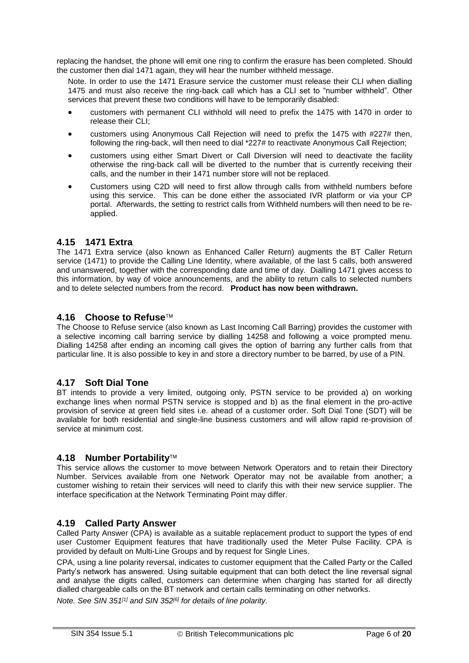replacing the handset, the phone will emit one ring to confirm the erasure has been completed. Should the customer then dial 1471 again, they will hear the number withheld message.

Note. In order to use the 1471 Erasure service the customer must release their CLI when dialling 1475 and must also receive the ring-back call which has a CLI set to "number withheld". Other services that prevent these two conditions will have to be temporarily disabled:

- <span id="page-5-1"></span> customers with permanent CLI withhold will need to prefix the 1475 with 1470 in order to release their CLI;
- customers using Anonymous Call Rejection will need to prefix the 1475 with #227# then, following the ring-back, will then need to dial \*227# to reactivate Anonymous Call Rejection;
- customers using either Smart Divert or Call Diversion will need to deactivate the facility otherwise the ring-back call will be diverted to the number that is currently receiving their calls, and the number in their 1471 number store will not be replaced.
- Customers using C2D will need to first allow through calls from withheld numbers before using this service. This can be done either the associated IVR platform or via your CP portal. Afterwards, the setting to restrict calls from Withheld numbers will then need to be reapplied.

#### **4.15 1471 Extra**

The 1471 Extra service (also known as Enhanced Caller Return) augments the BT Caller Return service (1471) to provide the Calling Line Identity, where available, of the last 5 calls, both answered and unanswered, together with the corresponding date and time of day. Dialling 1471 gives access to this information, by way of voice announcements, and the ability to return calls to selected numbers and to delete selected numbers from the record. **Product has now been withdrawn.**

#### <span id="page-5-0"></span>**4.16 Choose to Refuse**

The Choose to Refuse service (also known as Last Incoming Call Barring) provides the customer with a selective incoming call barring service by dialling 14258 and following a voice prompted menu. Dialling 14258 after ending an incoming call gives the option of barring any further calls from that particular line. It is also possible to key in and store a directory number to be barred, by use of a PIN.

## **4.17 Soft Dial Tone**

BT intends to provide a very limited, outgoing only, PSTN service to be provided a) on working exchange lines when normal PSTN service is stopped and b) as the final element in the pro-active provision of service at green field sites i.e. ahead of a customer order. Soft Dial Tone (SDT) will be available for both residential and single-line business customers and will allow rapid re-provision of service at minimum cost.

#### **4.18 Number Portability**

This service allows the customer to move between Network Operators and to retain their Directory Number. Services available from one Network Operator may not be available from another; a customer wishing to retain their services will need to clarify this with their new service supplier. The interface specification at the Network Terminating Point may differ.

#### **4.19 Called Party Answer**

Called Party Answer (CPA) is available as a suitable replacement product to support the types of end user Customer Equipment features that have traditionally used the Meter Pulse Facility. CPA is provided by default on Multi-Line Groups and by request for Single Lines.

CPA, using a line polarity reversal, indicates to customer equipment that the Called Party or the Called Party's network has answered. Using suitable equipment that can both detect the line reversal signal and analyse the digits called, customers can determine when charging has started for all directly dialled chargeable calls on the BT network and certain calls terminating on other networks.

*Note. See SIN 351[\[1\]](#page-9-0) and SIN 352[\[6\]](#page-9-3) for details of line polarity.*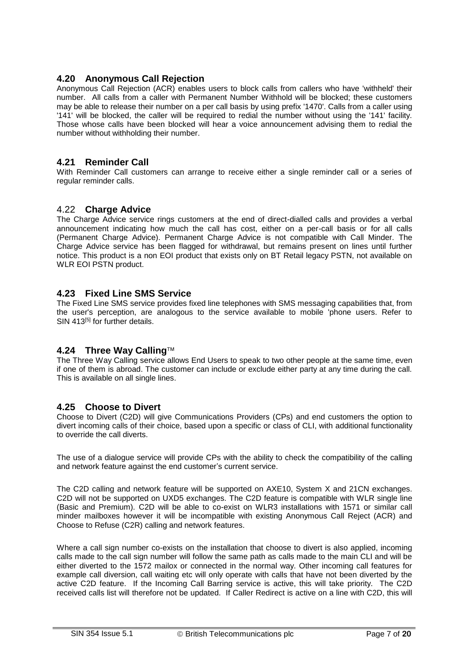# <span id="page-6-0"></span>**4.20 Anonymous Call Rejection**

Anonymous Call Rejection (ACR) enables users to block calls from callers who have 'withheld' their number. All calls from a caller with Permanent Number Withhold will be blocked; these customers may be able to release their number on a per call basis by using prefix '1470'. Calls from a caller using '141' will be blocked, the caller will be required to redial the number without using the '141' facility. Those whose calls have been blocked will hear a voice announcement advising them to redial the number without withholding their number.

## **4.21 Reminder Call**

With Reminder Call customers can arrange to receive either a single reminder call or a series of regular reminder calls.

#### 4.22 **Charge Advice**

The Charge Advice service rings customers at the end of direct-dialled calls and provides a verbal announcement indicating how much the call has cost, either on a per-call basis or for all calls (Permanent Charge Advice). Permanent Charge Advice is not compatible with Call Minder. The Charge Advice service has been flagged for withdrawal, but remains present on lines until further notice. This product is a non EOI product that exists only on BT Retail legacy PSTN, not available on WLR EOI PSTN product.

#### **4.23 Fixed Line SMS Service**

The Fixed Line SMS service provides fixed line telephones with SMS messaging capabilities that, from the user's perception, are analogous to the service available to mobile 'phone users. Refer to SIN 413<sup>[\[5\]](#page-9-4)</sup> for further details.

## **4.24 Three Way Calling**

The Three Way Calling service allows End Users to speak to two other people at the same time, even if one of them is abroad. The customer can include or exclude either party at any time during the call. This is available on all single lines.

## **4.25 Choose to Divert**

Choose to Divert (C2D) will give Communications Providers (CPs) and end customers the option to divert incoming calls of their choice, based upon a specific or class of CLI, with additional functionality to override the call diverts.

The use of a dialogue service will provide CPs with the ability to check the compatibility of the calling and network feature against the end customer's current service.

The C2D calling and network feature will be supported on AXE10, System X and 21CN exchanges. C2D will not be supported on UXD5 exchanges. The C2D feature is compatible with WLR single line (Basic and Premium). C2D will be able to co-exist on WLR3 installations with 1571 or similar call minder mailboxes however it will be incompatible with existing Anonymous Call Reject (ACR) and Choose to Refuse (C2R) calling and network features.

Where a call sign number co-exists on the installation that choose to divert is also applied, incoming calls made to the call sign number will follow the same path as calls made to the main CLI and will be either diverted to the 1572 mailox or connected in the normal way. Other incoming call features for example call diversion, call waiting etc will only operate with calls that have not been diverted by the active C2D feature. If the Incoming Call Barring service is active, this will take priority. The C2D received calls list will therefore not be updated. If Caller Redirect is active on a line with C2D, this will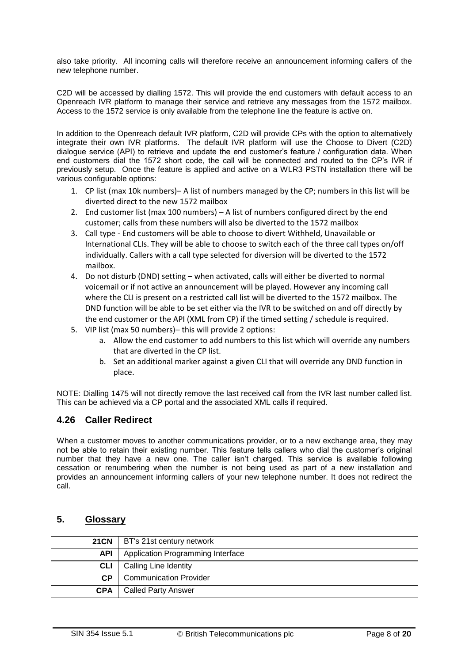also take priority. All incoming calls will therefore receive an announcement informing callers of the new telephone number.

C2D will be accessed by dialling 1572. This will provide the end customers with default access to an Openreach IVR platform to manage their service and retrieve any messages from the 1572 mailbox. Access to the 1572 service is only available from the telephone line the feature is active on.

In addition to the Openreach default IVR platform, C2D will provide CPs with the option to alternatively integrate their own IVR platforms. The default IVR platform will use the Choose to Divert (C2D) dialogue service (API) to retrieve and update the end customer's feature / configuration data. When end customers dial the 1572 short code, the call will be connected and routed to the CP's IVR if previously setup. Once the feature is applied and active on a WLR3 PSTN installation there will be various configurable options:

- 1. CP list (max 10k numbers)– A list of numbers managed by the CP; numbers in this list will be diverted direct to the new 1572 mailbox
- 2. End customer list (max 100 numbers) A list of numbers configured direct by the end customer; calls from these numbers will also be diverted to the 1572 mailbox
- 3. Call type End customers will be able to choose to divert Withheld, Unavailable or International CLIs. They will be able to choose to switch each of the three call types on/off individually. Callers with a call type selected for diversion will be diverted to the 1572 mailbox.
- 4. Do not disturb (DND) setting when activated, calls will either be diverted to normal voicemail or if not active an announcement will be played. However any incoming call where the CLI is present on a restricted call list will be diverted to the 1572 mailbox. The DND function will be able to be set either via the IVR to be switched on and off directly by the end customer or the API (XML from CP) if the timed setting / schedule is required.
- 5. VIP list (max 50 numbers)– this will provide 2 options:
	- a. Allow the end customer to add numbers to this list which will override any numbers that are diverted in the CP list.
	- b. Set an additional marker against a given CLI that will override any DND function in place.

NOTE: Dialling 1475 will not directly remove the last received call from the IVR last number called list. This can be achieved via a CP portal and the associated XML calls if required.

## **4.26 Caller Redirect**

When a customer moves to another communications provider, or to a new exchange area, they may not be able to retain their existing number. This feature tells callers who dial the customer's original number that they have a new one. The caller isn't charged. This service is available following cessation or renumbering when the number is not being used as part of a new installation and provides an announcement informing callers of your new telephone number. It does not redirect the call.

## **5. Glossary**

|            | 21CN   BT's 21st century network  |
|------------|-----------------------------------|
| <b>API</b> | Application Programming Interface |
| <b>CLI</b> | Calling Line Identity             |
| <b>CP</b>  | <b>Communication Provider</b>     |
| <b>CPA</b> | <b>Called Party Answer</b>        |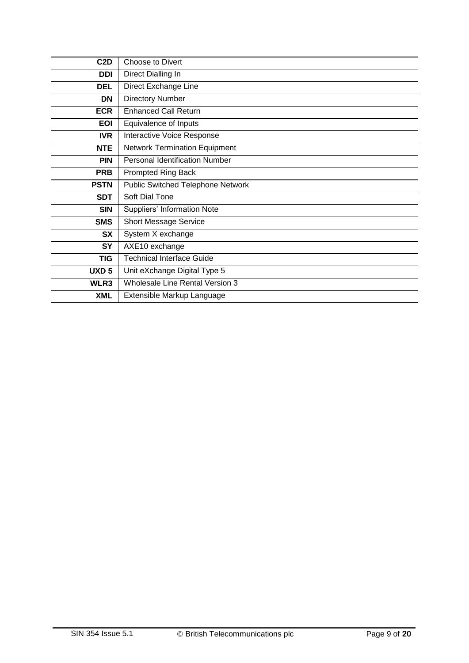| C <sub>2</sub> D | Choose to Divert                     |  |  |  |  |  |  |
|------------------|--------------------------------------|--|--|--|--|--|--|
| DDI              | Direct Dialling In                   |  |  |  |  |  |  |
| <b>DEL</b>       | Direct Exchange Line                 |  |  |  |  |  |  |
| <b>DN</b>        | <b>Directory Number</b>              |  |  |  |  |  |  |
| <b>ECR</b>       | <b>Enhanced Call Return</b>          |  |  |  |  |  |  |
| <b>EOI</b>       | Equivalence of Inputs                |  |  |  |  |  |  |
| <b>IVR</b>       | Interactive Voice Response           |  |  |  |  |  |  |
| <b>NTE</b>       | <b>Network Termination Equipment</b> |  |  |  |  |  |  |
| <b>PIN</b>       | Personal Identification Number       |  |  |  |  |  |  |
| <b>PRB</b>       | <b>Prompted Ring Back</b>            |  |  |  |  |  |  |
| <b>PSTN</b>      | Public Switched Telephone Network    |  |  |  |  |  |  |
| <b>SDT</b>       | Soft Dial Tone                       |  |  |  |  |  |  |
| <b>SIN</b>       | Suppliers' Information Note          |  |  |  |  |  |  |
| <b>SMS</b>       | <b>Short Message Service</b>         |  |  |  |  |  |  |
| <b>SX</b>        | System X exchange                    |  |  |  |  |  |  |
| <b>SY</b>        | AXE10 exchange                       |  |  |  |  |  |  |
| <b>TIG</b>       | <b>Technical Interface Guide</b>     |  |  |  |  |  |  |
| UXD <sub>5</sub> | Unit eXchange Digital Type 5         |  |  |  |  |  |  |
| WLR3             | Wholesale Line Rental Version 3      |  |  |  |  |  |  |
| <b>XML</b>       | Extensible Markup Language           |  |  |  |  |  |  |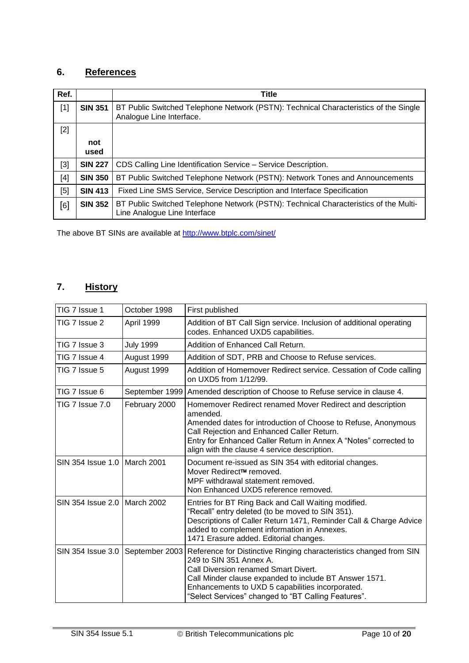# **6. References**

<span id="page-9-0"></span>

| Ref.  |                | Title                                                                                                                |
|-------|----------------|----------------------------------------------------------------------------------------------------------------------|
| $[1]$ | <b>SIN 351</b> | BT Public Switched Telephone Network (PSTN): Technical Characteristics of the Single<br>Analogue Line Interface.     |
| $[2]$ |                |                                                                                                                      |
|       | not<br>used    |                                                                                                                      |
| [3]   | <b>SIN 227</b> | CDS Calling Line Identification Service - Service Description.                                                       |
| [4]   | <b>SIN 350</b> | BT Public Switched Telephone Network (PSTN): Network Tones and Announcements                                         |
| $[5]$ | <b>SIN 413</b> | Fixed Line SMS Service, Service Description and Interface Specification                                              |
| [6]   | <b>SIN 352</b> | BT Public Switched Telephone Network (PSTN): Technical Characteristics of the Multi-<br>Line Analogue Line Interface |

<span id="page-9-4"></span><span id="page-9-3"></span><span id="page-9-2"></span><span id="page-9-1"></span>The above BT SINs are available at [http://www.btplc.com/sinet/](http://www.sinet.bt.com/index.htm)

# **7. History**

| TIG 7 Issue 1                  | October 1998     | First published                                                                                                                                                                                                                                                                                            |
|--------------------------------|------------------|------------------------------------------------------------------------------------------------------------------------------------------------------------------------------------------------------------------------------------------------------------------------------------------------------------|
| TIG 7 Issue 2                  | April 1999       | Addition of BT Call Sign service. Inclusion of additional operating<br>codes. Enhanced UXD5 capabilities.                                                                                                                                                                                                  |
| TIG 7 Issue 3                  | <b>July 1999</b> | Addition of Enhanced Call Return.                                                                                                                                                                                                                                                                          |
| TIG 7 Issue 4                  | August 1999      | Addition of SDT, PRB and Choose to Refuse services.                                                                                                                                                                                                                                                        |
| TIG 7 Issue 5                  | August 1999      | Addition of Homemover Redirect service. Cessation of Code calling<br>on UXD5 from 1/12/99.                                                                                                                                                                                                                 |
| TIG 7 Issue 6                  | September 1999   | Amended description of Choose to Refuse service in clause 4.                                                                                                                                                                                                                                               |
| TIG 7 Issue 7.0                | February 2000    | Homemover Redirect renamed Mover Redirect and description<br>amended.<br>Amended dates for introduction of Choose to Refuse, Anonymous<br>Call Rejection and Enhanced Caller Return.<br>Entry for Enhanced Caller Return in Annex A "Notes" corrected to<br>align with the clause 4 service description.   |
| SIN 354 Issue 1.0   March 2001 |                  | Document re-issued as SIN 354 with editorial changes.<br>Mover Redirect™ removed.<br>MPF withdrawal statement removed.<br>Non Enhanced UXD5 reference removed.                                                                                                                                             |
| SIN 354 Issue 2.0   March 2002 |                  | Entries for BT Ring Back and Call Waiting modified.<br>"Recall" entry deleted (to be moved to SIN 351).<br>Descriptions of Caller Return 1471, Reminder Call & Charge Advice<br>added to complement information in Annexes.<br>1471 Erasure added. Editorial changes.                                      |
| SIN 354 Issue 3.0              | September 2003   | Reference for Distinctive Ringing characteristics changed from SIN<br>249 to SIN 351 Annex A.<br>Call Diversion renamed Smart Divert.<br>Call Minder clause expanded to include BT Answer 1571.<br>Enhancements to UXD 5 capabilities incorporated.<br>"Select Services" changed to "BT Calling Features". |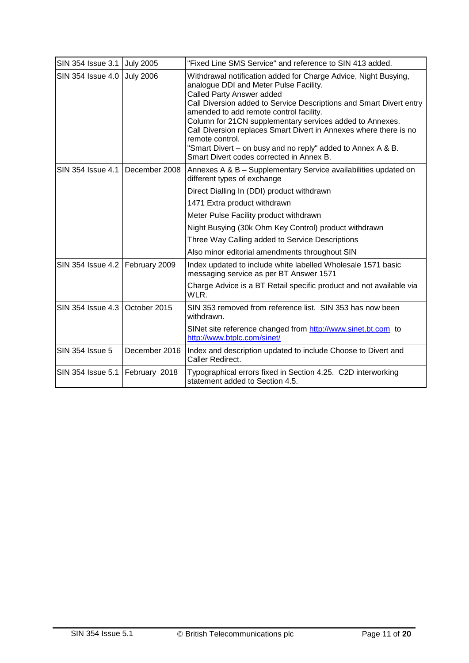| SIN 354 Issue 3.1 July 2005       |                  | "Fixed Line SMS Service" and reference to SIN 413 added.                                                                                                                                                                                                                                                                                                                                                                                                                                                                |
|-----------------------------------|------------------|-------------------------------------------------------------------------------------------------------------------------------------------------------------------------------------------------------------------------------------------------------------------------------------------------------------------------------------------------------------------------------------------------------------------------------------------------------------------------------------------------------------------------|
| SIN 354 Issue 4.0                 | <b>July 2006</b> | Withdrawal notification added for Charge Advice, Night Busying,<br>analogue DDI and Meter Pulse Facility.<br>Called Party Answer added<br>Call Diversion added to Service Descriptions and Smart Divert entry<br>amended to add remote control facility.<br>Column for 21CN supplementary services added to Annexes.<br>Call Diversion replaces Smart Divert in Annexes where there is no<br>remote control.<br>"Smart Divert - on busy and no reply" added to Annex A & B.<br>Smart Divert codes corrected in Annex B. |
| SIN 354 Issue 4.1   December 2008 |                  | Annexes A & B - Supplementary Service availabilities updated on<br>different types of exchange                                                                                                                                                                                                                                                                                                                                                                                                                          |
|                                   |                  | Direct Dialling In (DDI) product withdrawn                                                                                                                                                                                                                                                                                                                                                                                                                                                                              |
|                                   |                  | 1471 Extra product withdrawn                                                                                                                                                                                                                                                                                                                                                                                                                                                                                            |
|                                   |                  | Meter Pulse Facility product withdrawn                                                                                                                                                                                                                                                                                                                                                                                                                                                                                  |
|                                   |                  | Night Busying (30k Ohm Key Control) product withdrawn                                                                                                                                                                                                                                                                                                                                                                                                                                                                   |
|                                   |                  | Three Way Calling added to Service Descriptions                                                                                                                                                                                                                                                                                                                                                                                                                                                                         |
|                                   |                  | Also minor editorial amendments throughout SIN                                                                                                                                                                                                                                                                                                                                                                                                                                                                          |
| SIN 354 Issue 4.2   February 2009 |                  | Index updated to include white labelled Wholesale 1571 basic<br>messaging service as per BT Answer 1571                                                                                                                                                                                                                                                                                                                                                                                                                 |
|                                   |                  | Charge Advice is a BT Retail specific product and not available via<br>WLR.                                                                                                                                                                                                                                                                                                                                                                                                                                             |
| SIN 354 Issue 4.3 October 2015    |                  | SIN 353 removed from reference list. SIN 353 has now been<br>withdrawn.                                                                                                                                                                                                                                                                                                                                                                                                                                                 |
|                                   |                  | SINet site reference changed from http://www.sinet.bt.com to<br>http://www.btplc.com/sinet/                                                                                                                                                                                                                                                                                                                                                                                                                             |
| SIN 354 Issue 5                   | December 2016    | Index and description updated to include Choose to Divert and<br>Caller Redirect.                                                                                                                                                                                                                                                                                                                                                                                                                                       |
| SIN 354 Issue 5.1   February 2018 |                  | Typographical errors fixed in Section 4.25. C2D interworking<br>statement added to Section 4.5.                                                                                                                                                                                                                                                                                                                                                                                                                         |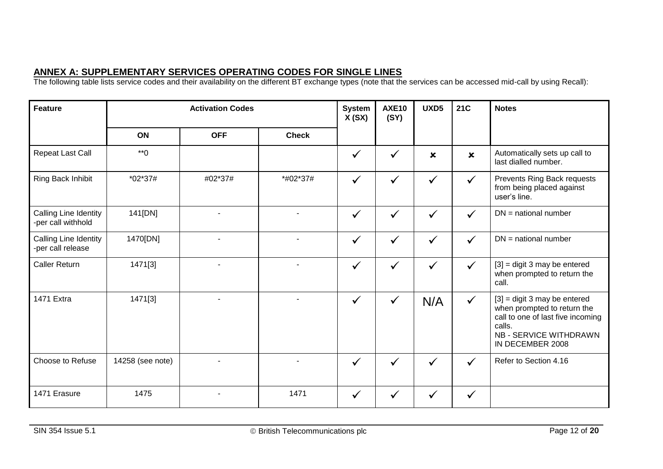| <b>Feature</b>                              | <b>Activation Codes</b> |            |              | <b>System</b><br>X(SX) | <b>AXE10</b><br>(SY) | UXD5           | <b>21C</b>                | <b>Notes</b>                                                                                                                                                      |
|---------------------------------------------|-------------------------|------------|--------------|------------------------|----------------------|----------------|---------------------------|-------------------------------------------------------------------------------------------------------------------------------------------------------------------|
|                                             | ON                      | <b>OFF</b> | <b>Check</b> |                        |                      |                |                           |                                                                                                                                                                   |
| Repeat Last Call                            | $*$ <sup>0</sup>        |            |              | $\checkmark$           | ✓                    | $\pmb{\times}$ | $\boldsymbol{\mathsf{x}}$ | Automatically sets up call to<br>last dialled number.                                                                                                             |
| Ring Back Inhibit                           | *02*37#                 | #02*37#    | *#02*37#     | ✓                      | ✓                    | $\checkmark$   | $\checkmark$              | Prevents Ring Back requests<br>from being placed against<br>user's line.                                                                                          |
| Calling Line Identity<br>-per call withhold | 141[DN]                 |            |              | $\checkmark$           | $\checkmark$         | $\checkmark$   | $\checkmark$              | $DN =$ national number                                                                                                                                            |
| Calling Line Identity<br>-per call release  | 1470[DN]                |            |              | $\checkmark$           | $\checkmark$         | $\checkmark$   | ✓                         | $DN =$ national number                                                                                                                                            |
| <b>Caller Return</b>                        | 1471[3]                 |            |              | $\checkmark$           | $\checkmark$         | $\checkmark$   | ✓                         | $[3]$ = digit 3 may be entered<br>when prompted to return the<br>call.                                                                                            |
| <b>1471 Extra</b>                           | 1471[3]                 |            |              | $\checkmark$           | $\checkmark$         | N/A            | $\checkmark$              | $[3]$ = digit 3 may be entered<br>when prompted to return the<br>call to one of last five incoming<br>calls.<br><b>NB - SERVICE WITHDRAWN</b><br>IN DECEMBER 2008 |
| Choose to Refuse                            | 14258 (see note)        |            |              | $\checkmark$           | $\checkmark$         | $\checkmark$   | $\checkmark$              | Refer to Section 4.16                                                                                                                                             |
| 1471 Erasure                                | 1475                    |            | 1471         | $\checkmark$           |                      | $\checkmark$   | ✓                         |                                                                                                                                                                   |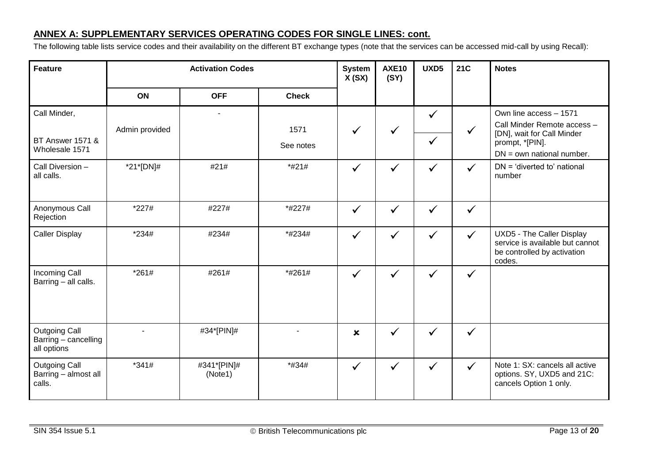| <b>Feature</b>                                              | <b>Activation Codes</b> |                        |              | <b>System</b><br>X(SX)    | <b>AXE10</b><br>(SY) | UXD5                         | <b>21C</b>   | <b>Notes</b>                                                                                           |
|-------------------------------------------------------------|-------------------------|------------------------|--------------|---------------------------|----------------------|------------------------------|--------------|--------------------------------------------------------------------------------------------------------|
|                                                             | <b>ON</b>               | <b>OFF</b>             | <b>Check</b> |                           |                      |                              |              |                                                                                                        |
| Call Minder,<br><b>BT Answer 1571 &amp;</b>                 | Admin provided          |                        | 1571         | ✓                         | $\checkmark$         | $\checkmark$<br>$\checkmark$ | $\checkmark$ | Own line access - 1571<br>Call Minder Remote access -<br>[DN], wait for Call Minder<br>prompt, *[PIN]. |
| Wholesale 1571                                              |                         |                        | See notes    |                           |                      |                              |              | $DN = own$ national number.                                                                            |
| Call Diversion -<br>all calls.                              | *21*[DN]#               | #21#                   | *#21#        | $\checkmark$              | ✓                    | $\checkmark$                 | $\checkmark$ | DN = 'diverted to' national<br>number                                                                  |
| Anonymous Call<br>Rejection                                 | $*227#$                 | #227#                  | *#227#       | $\checkmark$              | $\checkmark$         | $\checkmark$                 | $\checkmark$ |                                                                                                        |
| <b>Caller Display</b>                                       | $*234#$                 | #234#                  | *#234#       | $\checkmark$              | $\checkmark$         | $\checkmark$                 | $\checkmark$ | UXD5 - The Caller Display<br>service is available but cannot<br>be controlled by activation<br>codes.  |
| <b>Incoming Call</b><br>Barring - all calls.                | $*261#$                 | #261#                  | *#261#       | $\checkmark$              | $\checkmark$         | $\checkmark$                 | $\checkmark$ |                                                                                                        |
| <b>Outgoing Call</b><br>Barring - cancelling<br>all options | $\mathbf{r}$            | #34*[PIN]#             |              | $\boldsymbol{\mathsf{x}}$ | $\checkmark$         | $\checkmark$                 | $\checkmark$ |                                                                                                        |
| <b>Outgoing Call</b><br>Barring - almost all<br>calls.      | $*341#$                 | #341*[PIN]#<br>(Note1) | *#34#        | $\checkmark$              | $\checkmark$         | $\checkmark$                 | $\checkmark$ | Note 1: SX: cancels all active<br>options. SY, UXD5 and 21C:<br>cancels Option 1 only.                 |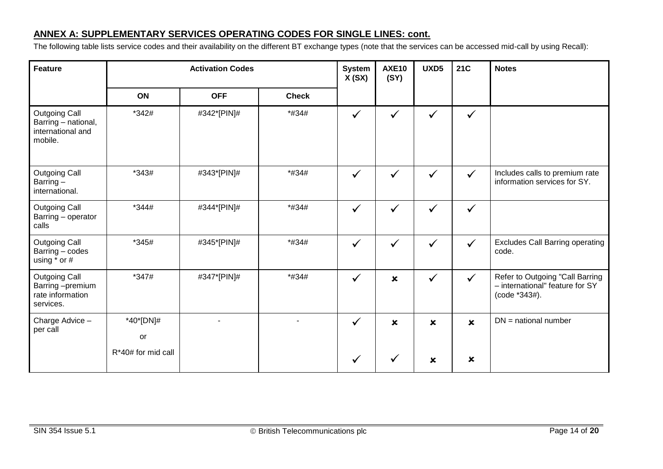| <b>Feature</b>                                                              | <b>Activation Codes</b> |             |              | <b>System</b><br>X(SX) | <b>AXE10</b><br>(SY)      | UXD5                      | <b>21C</b>                | <b>Notes</b>                                                                        |
|-----------------------------------------------------------------------------|-------------------------|-------------|--------------|------------------------|---------------------------|---------------------------|---------------------------|-------------------------------------------------------------------------------------|
|                                                                             | ON                      | <b>OFF</b>  | <b>Check</b> |                        |                           |                           |                           |                                                                                     |
| <b>Outgoing Call</b><br>Barring - national,<br>international and<br>mobile. | *342#                   | #342*[PIN]# | *#34#        | $\checkmark$           | $\checkmark$              | $\checkmark$              | $\checkmark$              |                                                                                     |
| <b>Outgoing Call</b><br>Barring-<br>international.                          | $*343#$                 | #343*[PIN]# | *#34#        | ✓                      |                           | $\checkmark$              | $\checkmark$              | Includes calls to premium rate<br>information services for SY.                      |
| <b>Outgoing Call</b><br>Barring - operator<br>calls                         | *344#                   | #344*[PIN]# | *#34#        | $\checkmark$           | ✓                         | $\checkmark$              | $\checkmark$              |                                                                                     |
| <b>Outgoing Call</b><br>Barring - codes<br>using $*$ or $#$                 | *345#                   | #345*[PIN]# | *#34#        | $\checkmark$           | $\checkmark$              | $\checkmark$              | ✓                         | <b>Excludes Call Barring operating</b><br>code.                                     |
| <b>Outgoing Call</b><br>Barring-premium<br>rate information<br>services.    | *347#                   | #347*[PIN]# | *#34#        | $\checkmark$           | $\boldsymbol{\mathsf{x}}$ | $\checkmark$              | $\checkmark$              | Refer to Outgoing "Call Barring<br>- international" feature for SY<br>(code *343#). |
| Charge Advice -<br>per call                                                 | *40*[DN]#<br>or         |             |              | $\checkmark$           | $\boldsymbol{\mathsf{x}}$ | $\boldsymbol{\mathsf{x}}$ | $\mathbf x$               | $DN =$ national number                                                              |
|                                                                             | R*40# for mid call      |             |              |                        |                           | ×                         | $\boldsymbol{\mathsf{x}}$ |                                                                                     |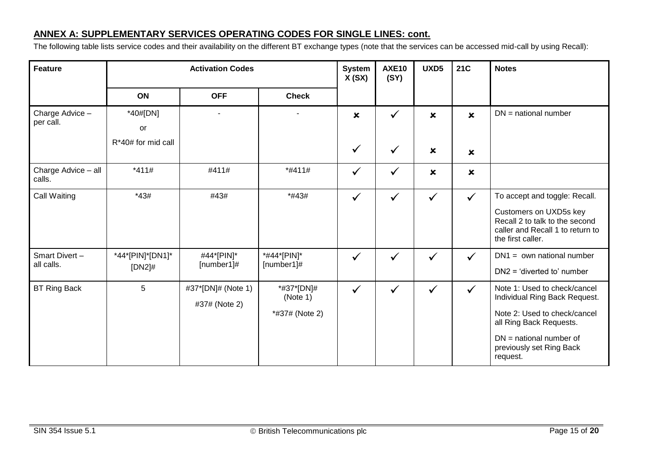| <b>Feature</b>                | <b>Activation Codes</b>                       |                                     |                                          | <b>System</b><br>X(SX)                    | <b>AXE10</b><br>(SY) | UXD5                      | <b>21C</b>                | <b>Notes</b>                                                                                                                                                                                  |
|-------------------------------|-----------------------------------------------|-------------------------------------|------------------------------------------|-------------------------------------------|----------------------|---------------------------|---------------------------|-----------------------------------------------------------------------------------------------------------------------------------------------------------------------------------------------|
|                               | <b>ON</b>                                     | <b>OFF</b>                          | <b>Check</b>                             |                                           |                      |                           |                           |                                                                                                                                                                                               |
| Charge Advice -<br>per call.  | *40#[DN]<br><b>or</b><br>$R*40#$ for mid call |                                     |                                          | $\boldsymbol{\mathsf{x}}$<br>$\checkmark$ | ✓                    | $\boldsymbol{\mathsf{x}}$ | $\mathbf x$               | $DN =$ national number                                                                                                                                                                        |
|                               |                                               |                                     |                                          |                                           | $\checkmark$         | $\pmb{\times}$            | $\boldsymbol{\mathsf{x}}$ |                                                                                                                                                                                               |
| Charge Advice - all<br>calls. | $*411#$                                       | #411#                               | *#411#                                   | ✓                                         | ✓                    | $\pmb{\times}$            | $\boldsymbol{\mathsf{x}}$ |                                                                                                                                                                                               |
| Call Waiting                  | $*43#$                                        | #43#                                | *#43#                                    | $\checkmark$                              | $\checkmark$         | $\checkmark$              | $\checkmark$              | To accept and toggle: Recall.<br>Customers on UXD5s key<br>Recall 2 to talk to the second<br>caller and Recall 1 to return to<br>the first caller.                                            |
| Smart Divert-<br>all calls.   | *44*[PIN]*[DN1]*<br>$[DN2]$ #                 | #44*[PIN]*<br>[number1]#            | *#44*[PIN]*<br>[number1]#                | $\checkmark$                              | $\checkmark$         | $\checkmark$              | $\checkmark$              | $DN1 = own$ national number<br>$DN2 = 'diverted to' number$                                                                                                                                   |
| <b>BT Ring Back</b>           | 5                                             | #37*[DN]# (Note 1)<br>#37# (Note 2) | *#37*[DN]#<br>(Note 1)<br>*#37# (Note 2) | $\checkmark$                              | $\checkmark$         | $\checkmark$              | $\checkmark$              | Note 1: Used to check/cancel<br>Individual Ring Back Request.<br>Note 2: Used to check/cancel<br>all Ring Back Requests.<br>$DN =$ national number of<br>previously set Ring Back<br>request. |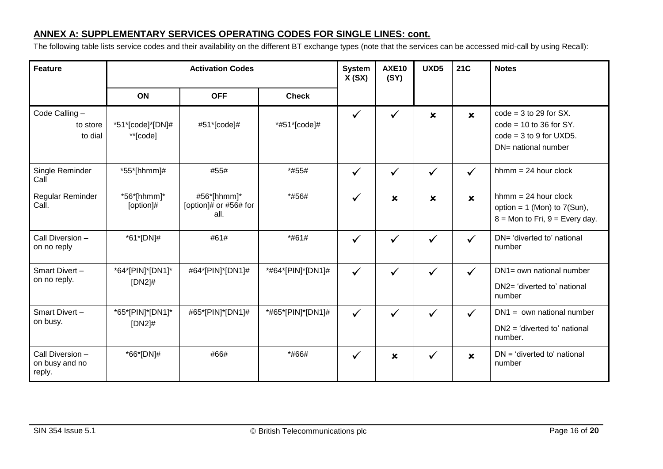| <b>Feature</b>                               | <b>Activation Codes</b>       |                                              |                   | <b>System</b><br>X(SX) | <b>AXE10</b><br>(SY)      | UXD5                      | <b>21C</b>                | <b>Notes</b>                                                                                              |
|----------------------------------------------|-------------------------------|----------------------------------------------|-------------------|------------------------|---------------------------|---------------------------|---------------------------|-----------------------------------------------------------------------------------------------------------|
|                                              | ON                            | <b>OFF</b>                                   | <b>Check</b>      |                        |                           |                           |                           |                                                                                                           |
| Code Calling-<br>to store<br>to dial         | *51*[code]*[DN]#<br>**[code]  | #51*[code]#                                  | *#51*[code]#      | $\checkmark$           | $\checkmark$              | $\boldsymbol{\mathsf{x}}$ | $\boldsymbol{\mathsf{x}}$ | $code = 3 to 29$ for SX.<br>$code = 10$ to 36 for SY.<br>$code = 3$ to 9 for UXD5.<br>DN= national number |
| Single Reminder<br>Call                      | *55*[hhmm]#                   | #55#                                         | *#55#             | $\checkmark$           | $\checkmark$              | $\checkmark$              | $\checkmark$              | $h_{m} = 24$ hour clock                                                                                   |
| Regular Reminder<br>Call.                    | $*56*$ [hhmm]*<br>[option]#   | #56*[hhmm]*<br>[option]# or #56# for<br>all. | *#56#             | $\checkmark$           | $\boldsymbol{\mathsf{x}}$ | $\pmb{\times}$            | $\mathbf x$               | $h_{m} = 24$ hour clock<br>option = $1$ (Mon) to $7(Sun)$ ,<br>$8 =$ Mon to Fri, $9 =$ Every day.         |
| Call Diversion -<br>on no reply              | *61*[DN]#                     | #61#                                         | *#61#             | $\checkmark$           | $\checkmark$              | $\checkmark$              | $\checkmark$              | DN= 'diverted to' national<br>number                                                                      |
| Smart Divert-<br>on no reply.                | *64*[PIN]*[DN1]*<br>$[DN2]$ # | #64*[PIN]*[DN1]#                             | *#64*[PIN]*[DN1]# | $\checkmark$           | ✓                         | $\checkmark$              | $\checkmark$              | DN1= own national number<br>DN2= 'diverted to' national<br>number                                         |
| Smart Divert-<br>on busy.                    | *65*[PIN]*[DN1]*<br>$[DN2]$ # | #65*[PIN]*[DN1]#                             | *#65*[PIN]*[DN1]# | $\checkmark$           | $\checkmark$              | $\checkmark$              | $\checkmark$              | $DN1 = own$ national number<br>$DN2 = 'diverted to' national$<br>number.                                  |
| Call Diversion -<br>on busy and no<br>reply. | *66*[DN]#                     | #66#                                         | *#66#             | $\checkmark$           | $\pmb{\times}$            | $\checkmark$              | $\boldsymbol{\mathsf{x}}$ | $DN = 'diverted to'$ national<br>number                                                                   |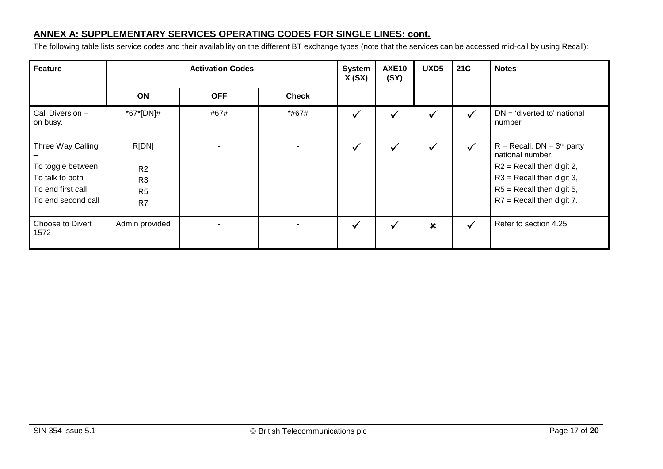| <b>Feature</b>                                                                                       | <b>Activation Codes</b>                                                       |            |              | <b>System</b><br>X(SX) | <b>AXE10</b><br>(SY) | UXD5                      | <b>21C</b>   | <b>Notes</b>                                                                                                                                                                    |
|------------------------------------------------------------------------------------------------------|-------------------------------------------------------------------------------|------------|--------------|------------------------|----------------------|---------------------------|--------------|---------------------------------------------------------------------------------------------------------------------------------------------------------------------------------|
|                                                                                                      | ON                                                                            | <b>OFF</b> | <b>Check</b> |                        |                      |                           |              |                                                                                                                                                                                 |
| Call Diversion –<br>on busy.                                                                         | *67*[DN]#                                                                     | #67#       | *#67#        | $\checkmark$           |                      | $\checkmark$              | $\checkmark$ | $DN = 'diverted to' national$<br>number                                                                                                                                         |
| Three Way Calling<br>To toggle between<br>To talk to both<br>To end first call<br>To end second call | R[DN]<br>R <sub>2</sub><br>R <sub>3</sub><br>R <sub>5</sub><br>R <sub>7</sub> |            |              | $\checkmark$           |                      | $\checkmark$              | $\checkmark$ | $R = Recall$ , $DN = 3rd$ party<br>national number.<br>$R2$ = Recall then digit 2,<br>$R3$ = Recall then digit 3,<br>$R5$ = Recall then digit 5,<br>$R7$ = Recall then digit 7. |
| Choose to Divert<br>1572                                                                             | Admin provided                                                                | ٠          |              | $\checkmark$           |                      | $\boldsymbol{\mathsf{x}}$ | $\checkmark$ | Refer to section 4.25                                                                                                                                                           |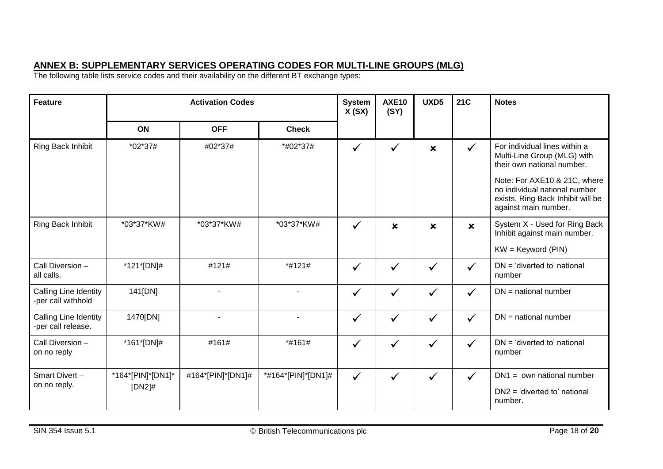# **ANNEX B: SUPPLEMENTARY SERVICES OPERATING CODES FOR MULTI-LINE GROUPS (MLG)**

The following table lists service codes and their availability on the different BT exchange types:

| <b>Feature</b>                                     | <b>Activation Codes</b> |                   |                    | <b>System</b><br>X(SX) | <b>AXE10</b><br>(SY)      | UXD5                      | 21C                       | <b>Notes</b>                                                                                                               |
|----------------------------------------------------|-------------------------|-------------------|--------------------|------------------------|---------------------------|---------------------------|---------------------------|----------------------------------------------------------------------------------------------------------------------------|
|                                                    | <b>ON</b>               | <b>OFF</b>        | <b>Check</b>       |                        |                           |                           |                           |                                                                                                                            |
| Ring Back Inhibit                                  | *02*37#                 | #02*37#           | *#02*37#           | $\checkmark$           | ✓                         | $\boldsymbol{\mathsf{x}}$ | $\checkmark$              | For individual lines within a<br>Multi-Line Group (MLG) with<br>their own national number.                                 |
|                                                    |                         |                   |                    |                        |                           |                           |                           | Note: For AXE10 & 21C, where<br>no individual national number<br>exists, Ring Back Inhibit will be<br>against main number. |
| Ring Back Inhibit                                  | *03*37*KW#              | *03*37*KW#        | *03*37*KW#         | $\checkmark$           | $\boldsymbol{\mathsf{x}}$ | $\boldsymbol{\mathsf{x}}$ | $\boldsymbol{\mathsf{x}}$ | System X - Used for Ring Back<br>Inhibit against main number.                                                              |
|                                                    |                         |                   |                    |                        |                           |                           |                           | $KW = Keyword (PIN)$                                                                                                       |
| Call Diversion -<br>all calls.                     | *121*[DN]#              | #121#             | *#121#             | $\checkmark$           | $\checkmark$              | $\checkmark$              | $\checkmark$              | $DN = 'diverted to'$ national<br>number                                                                                    |
| <b>Calling Line Identity</b><br>-per call withhold | 141[DN]                 | $\blacksquare$    |                    | $\checkmark$           | $\checkmark$              | $\checkmark$              | $\checkmark$              | $DN =$ national number                                                                                                     |
| Calling Line Identity<br>-per call release.        | 1470[DN]                | $\blacksquare$    |                    | $\checkmark$           | $\checkmark$              | $\checkmark$              | $\checkmark$              | $DN =$ national number                                                                                                     |
| Call Diversion -<br>on no reply                    | *161*[DN]#              | #161#             | *#161#             | $\checkmark$           | $\checkmark$              | $\checkmark$              | $\checkmark$              | $DN = 'diverted to' national$<br>number                                                                                    |
| Smart Divert-<br>on no reply.                      | *164*[PIN]*[DN1]*       | #164*[PIN]*[DN1]# | *#164*[PIN]*[DN1]# | $\checkmark$           | $\checkmark$              | $\checkmark$              | $\checkmark$              | $DN1 = own$ national number                                                                                                |
|                                                    | $[DN2]$ #               |                   |                    |                        |                           |                           |                           | $DN2 = 'diverted to' national$<br>number.                                                                                  |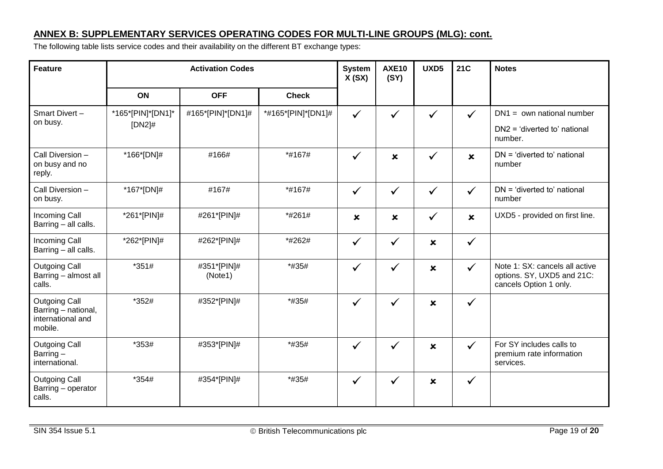# **ANNEX B: SUPPLEMENTARY SERVICES OPERATING CODES FOR MULTI-LINE GROUPS (MLG): cont.**

The following table lists service codes and their availability on the different BT exchange types:

| <b>Feature</b>                                                              | <b>Activation Codes</b>        |                        |                    |                           | <b>AXE10</b><br>(SY)      | UXD5                      | <b>21C</b>   | <b>Notes</b>                                                                           |
|-----------------------------------------------------------------------------|--------------------------------|------------------------|--------------------|---------------------------|---------------------------|---------------------------|--------------|----------------------------------------------------------------------------------------|
|                                                                             | <b>ON</b>                      | <b>OFF</b>             | <b>Check</b>       |                           |                           |                           |              |                                                                                        |
| Smart Divert-<br>on busy.                                                   | *165*[PIN]*[DN1]*<br>$[DN2]$ # | #165*[PIN]*[DN1]#      | *#165*[PIN]*[DN1]# | $\checkmark$              | $\checkmark$              | $\checkmark$              | $\checkmark$ | $DN1 = own$ national number<br>$DN2 = 'diverted to' national$<br>number.               |
| Call Diversion -<br>on busy and no<br>reply.                                | *166*[DN]#                     | #166#                  | *#167#             | $\checkmark$              | $\pmb{\times}$            | $\checkmark$              | $\mathbf x$  | $DN = 'diverted to' national$<br>number                                                |
| Call Diversion -<br>on busy.                                                | *167*[DN]#                     | #167#                  | *#167#             | $\checkmark$              | $\checkmark$              | $\checkmark$              | $\checkmark$ | $DN = 'diverted to'$ national<br>number                                                |
| <b>Incoming Call</b><br>Barring - all calls.                                | *261*[PIN]#                    | #261*[PIN]#            | *#261#             | $\boldsymbol{\mathsf{x}}$ | $\boldsymbol{\mathsf{x}}$ | $\checkmark$              | $\mathbf x$  | UXD5 - provided on first line.                                                         |
| <b>Incoming Call</b><br>Barring - all calls.                                | *262*[PIN]#                    | #262*[PIN]#            | *#262#             | $\checkmark$              | $\checkmark$              | $\pmb{\times}$            | $\checkmark$ |                                                                                        |
| <b>Outgoing Call</b><br>Barring - almost all<br>calls.                      | $*351#$                        | #351*[PIN]#<br>(Note1) | *#35#              | $\checkmark$              | ✓                         | $\pmb{\times}$            | $\checkmark$ | Note 1: SX: cancels all active<br>options. SY, UXD5 and 21C:<br>cancels Option 1 only. |
| <b>Outgoing Call</b><br>Barring - national,<br>international and<br>mobile. | *352#                          | #352*[PIN]#            | *#35#              | $\checkmark$              | $\checkmark$              | $\boldsymbol{\mathsf{x}}$ | $\checkmark$ |                                                                                        |
| <b>Outgoing Call</b><br>Barring-<br>international.                          | *353#                          | #353*[PIN]#            | *#35#              | $\checkmark$              | ✓                         | $\boldsymbol{\mathsf{x}}$ | $\checkmark$ | For SY includes calls to<br>premium rate information<br>services.                      |
| <b>Outgoing Call</b><br>Barring - operator<br>calls.                        | *354#                          | #354*[PIN]#            | *#35#              | $\checkmark$              | ✓                         | $\pmb{\times}$            | $\checkmark$ |                                                                                        |